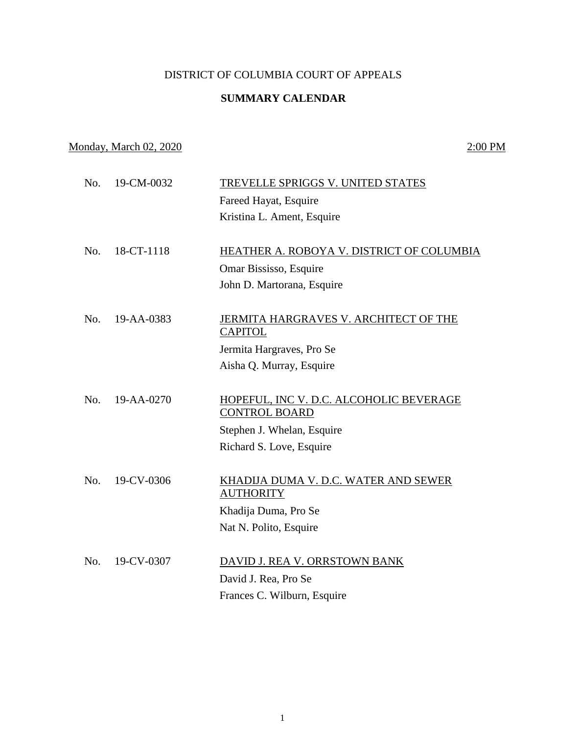## DISTRICT OF COLUMBIA COURT OF APPEALS

## **SUMMARY CALENDAR**

# Monday, March 02, 2020 2:00 PM

| <b>HEATHER A. ROBOYA V. DISTRICT OF COLUMBIA</b> |
|--------------------------------------------------|
|                                                  |
|                                                  |
| JERMITA HARGRAVES V. ARCHITECT OF THE            |
|                                                  |
|                                                  |
|                                                  |
| HOPEFUL, INC V. D.C. ALCOHOLIC BEVERAGE          |
|                                                  |
|                                                  |
|                                                  |
| KHADIJA DUMA V. D.C. WATER AND SEWER             |
|                                                  |
|                                                  |
|                                                  |
| DAVID J. REA V. ORRSTOWN BANK                    |
|                                                  |
|                                                  |
|                                                  |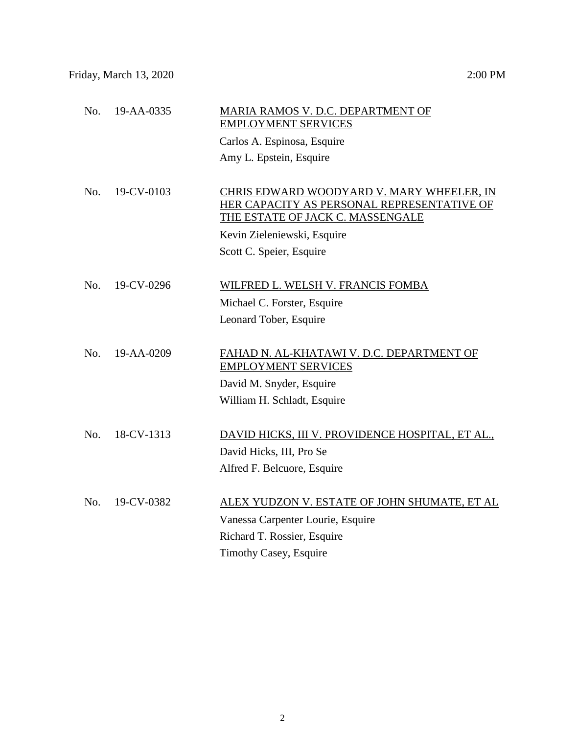| No. | 19-AA-0335 | MARIA RAMOS V. D.C. DEPARTMENT OF<br><b>EMPLOYMENT SERVICES</b>                                                             |
|-----|------------|-----------------------------------------------------------------------------------------------------------------------------|
|     |            | Carlos A. Espinosa, Esquire                                                                                                 |
|     |            | Amy L. Epstein, Esquire                                                                                                     |
|     |            |                                                                                                                             |
| No. | 19-CV-0103 | CHRIS EDWARD WOODYARD V. MARY WHEELER, IN<br>HER CAPACITY AS PERSONAL REPRESENTATIVE OF<br>THE ESTATE OF JACK C. MASSENGALE |
|     |            | Kevin Zieleniewski, Esquire                                                                                                 |
|     |            | Scott C. Speier, Esquire                                                                                                    |
|     |            |                                                                                                                             |
| No. | 19-CV-0296 | WILFRED L. WELSH V. FRANCIS FOMBA                                                                                           |
|     |            | Michael C. Forster, Esquire                                                                                                 |
|     |            | Leonard Tober, Esquire                                                                                                      |
|     |            |                                                                                                                             |
| No. | 19-AA-0209 | FAHAD N. AL-KHATAWI V. D.C. DEPARTMENT OF<br><b>EMPLOYMENT SERVICES</b>                                                     |
|     |            | David M. Snyder, Esquire                                                                                                    |
|     |            | William H. Schladt, Esquire                                                                                                 |
|     |            |                                                                                                                             |
| No. | 18-CV-1313 | DAVID HICKS, III V. PROVIDENCE HOSPITAL, ET AL.,                                                                            |
|     |            | David Hicks, III, Pro Se                                                                                                    |
|     |            | Alfred F. Belcuore, Esquire                                                                                                 |
|     |            |                                                                                                                             |
| No. | 19-CV-0382 | <u>ALEX YUDZON V. ESTATE OF JOHN SHUMATE, ET AL</u>                                                                         |
|     |            | Vanessa Carpenter Lourie, Esquire                                                                                           |
|     |            | Richard T. Rossier, Esquire                                                                                                 |
|     |            | <b>Timothy Casey, Esquire</b>                                                                                               |
|     |            |                                                                                                                             |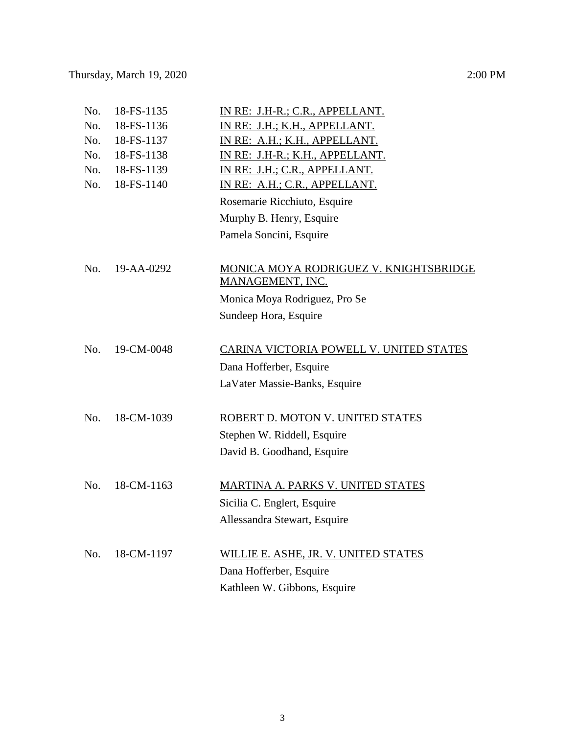| No. | 18-FS-1135 | IN RE: J.H-R.; C.R., APPELLANT.                                   |
|-----|------------|-------------------------------------------------------------------|
| No. | 18-FS-1136 | IN RE: J.H.; K.H., APPELLANT.                                     |
| No. | 18-FS-1137 | IN RE: A.H.; K.H., APPELLANT.                                     |
| No. | 18-FS-1138 | IN RE: J.H-R.; K.H., APPELLANT.                                   |
| No. | 18-FS-1139 | IN RE: J.H.; C.R., APPELLANT.                                     |
| No. | 18-FS-1140 | IN RE: A.H.; C.R., APPELLANT.                                     |
|     |            | Rosemarie Ricchiuto, Esquire                                      |
|     |            | Murphy B. Henry, Esquire                                          |
|     |            | Pamela Soncini, Esquire                                           |
| No. | 19-AA-0292 | MONICA MOYA RODRIGUEZ V. KNIGHTSBRIDGE<br><u>MANAGEMENT, INC.</u> |
|     |            | Monica Moya Rodriguez, Pro Se                                     |
|     |            | Sundeep Hora, Esquire                                             |
| No. | 19-CM-0048 | CARINA VICTORIA POWELL V. UNITED STATES                           |
|     |            | Dana Hofferber, Esquire                                           |
|     |            | LaVater Massie-Banks, Esquire                                     |
| No. | 18-CM-1039 | ROBERT D. MOTON V. UNITED STATES                                  |
|     |            | Stephen W. Riddell, Esquire                                       |
|     |            |                                                                   |
|     |            | David B. Goodhand, Esquire                                        |
| No. | 18-CM-1163 | MARTINA A. PARKS V. UNITED STATES                                 |
|     |            | Sicilia C. Englert, Esquire                                       |
|     |            | Allessandra Stewart, Esquire                                      |
| No. | 18-CM-1197 | WILLIE E. ASHE, JR. V. UNITED STATES                              |
|     |            | Dana Hofferber, Esquire                                           |
|     |            | Kathleen W. Gibbons, Esquire                                      |
|     |            |                                                                   |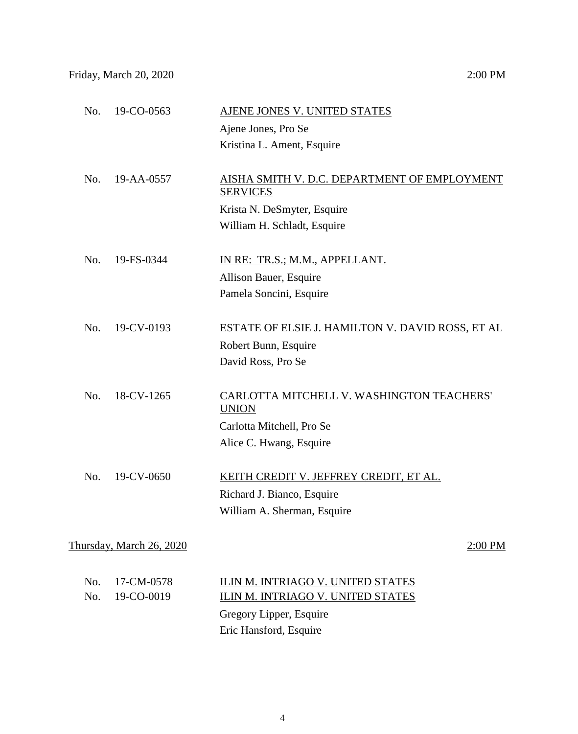| No. | 19-AA-0557 | AISHA SMITH V. D.C. DEPARTMENT OF EMPLOYMENT<br><b>SERVICES</b> |
|-----|------------|-----------------------------------------------------------------|
|     |            | Krista N. DeSmyter, Esquire                                     |
|     |            | William H. Schladt, Esquire                                     |
|     |            |                                                                 |
| No. | 19-FS-0344 | IN RE: TR.S.; M.M., APPELLANT.                                  |
|     |            | Allison Bauer, Esquire                                          |
|     |            | Pamela Soncini, Esquire                                         |
|     |            |                                                                 |

Ajene Jones, Pro Se

Kristina L. Ament, Esquire

- No. 19-CV-0193 ESTATE OF ELSIE J. HAMILTON V. DAVID ROSS, ET AL Robert Bunn, Esquire David Ross, Pro Se
- No. 18-CV-1265 CARLOTTA MITCHELL V. WASHINGTON TEACHERS' UNION Carlotta Mitchell, Pro Se Alice C. Hwang, Esquire
- No. 19-CV-0650 KEITH CREDIT V. JEFFREY CREDIT, ET AL. Richard J. Bianco, Esquire William A. Sherman, Esquire

Thursday, March 26, 2020 2:00 PM

| No. 17-CM-0578          | ILIN M. INTRIAGO V. UNITED STATES |
|-------------------------|-----------------------------------|
| $\text{No.}$ 19-CO-0019 | ILIN M. INTRIAGO V. UNITED STATES |
|                         | Gregory Lipper, Esquire           |
|                         | Eric Hansford, Esquire            |